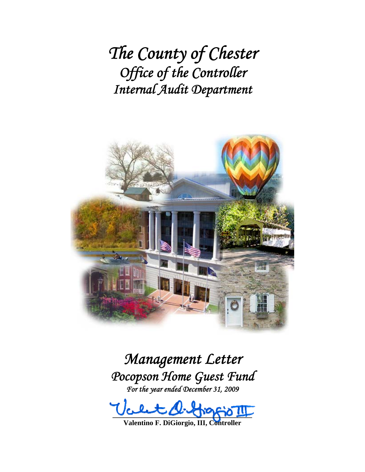*The County of Chester Office of the Controller Internal Audit Department*



*Management Letter Pocopson Home Guest Fund For the year ended December 31, 2009* 

 $100 - 00 - 00 - 00 - 00 - 00$ 

**Valentino F. DiGiorgio, III, Controller**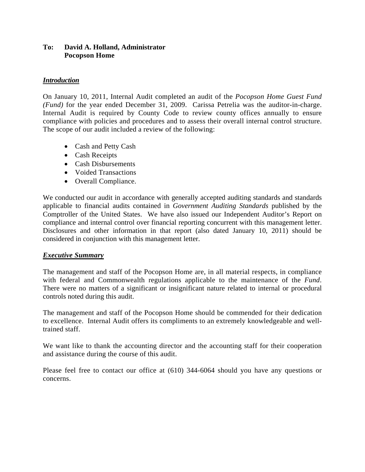#### **To: David A. Holland, Administrator Pocopson Home**

## *Introduction*

On January 10, 2011, Internal Audit completed an audit of the *Pocopson Home Guest Fund (Fund)* for the year ended December 31, 2009. Carissa Petrelia was the auditor-in-charge. Internal Audit is required by County Code to review county offices annually to ensure compliance with policies and procedures and to assess their overall internal control structure. The scope of our audit included a review of the following:

- Cash and Petty Cash
- Cash Receipts
- Cash Disbursements
- Voided Transactions
- Overall Compliance.

We conducted our audit in accordance with generally accepted auditing standards and standards applicable to financial audits contained in *Government Auditing Standards* published by the Comptroller of the United States. We have also issued our Independent Auditor's Report on compliance and internal control over financial reporting concurrent with this management letter. Disclosures and other information in that report (also dated January 10, 2011) should be considered in conjunction with this management letter.

## *Executive Summary*

The management and staff of the Pocopson Home are, in all material respects, in compliance with federal and Commonwealth regulations applicable to the maintenance of the *Fund*. There were no matters of a significant or insignificant nature related to internal or procedural controls noted during this audit.

The management and staff of the Pocopson Home should be commended for their dedication to excellence. Internal Audit offers its compliments to an extremely knowledgeable and welltrained staff.

We want like to thank the accounting director and the accounting staff for their cooperation and assistance during the course of this audit.

Please feel free to contact our office at (610) 344-6064 should you have any questions or concerns.